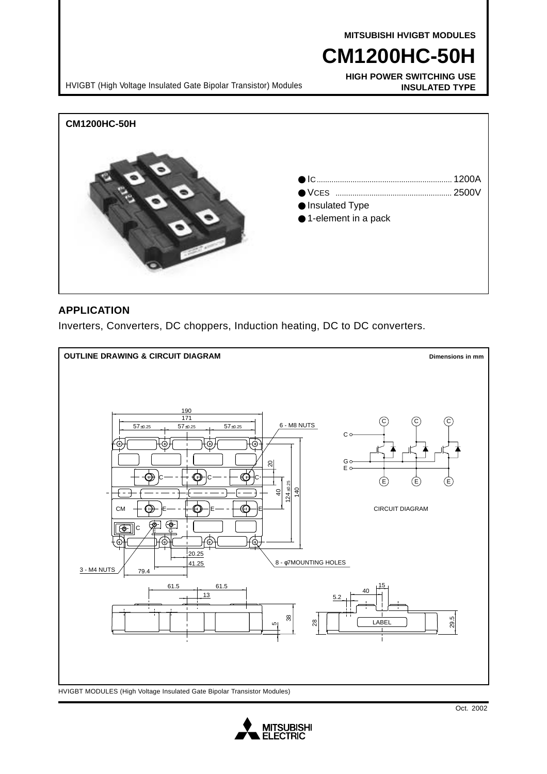**MITSUBISHI HVIGBT MODULES**

# **CM1200HC-50H**

**HIGH POWER SWITCHING USE INSULATED TYPE**

HVIGBT (High Voltage Insulated Gate Bipolar Transistor) Modules



### **APPLICATION**

Inverters, Converters, DC choppers, Induction heating, DC to DC converters.



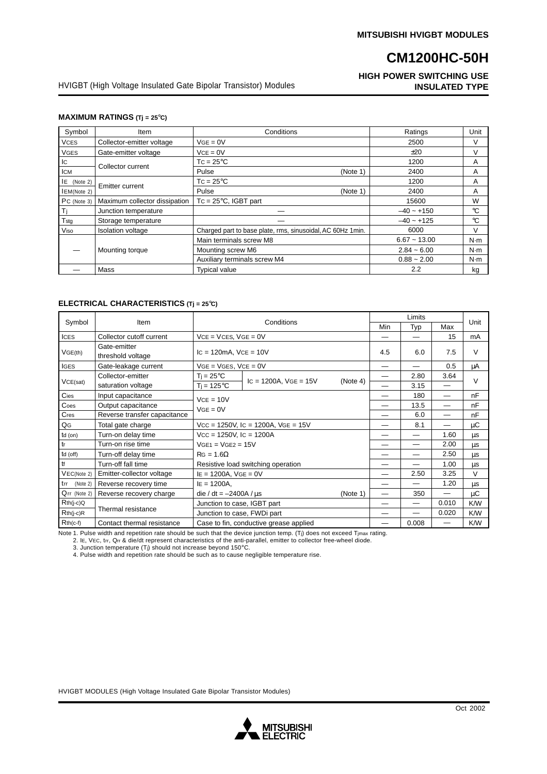## **CM1200HC-50H**

#### **HIGH POWER SWITCHING USE INSULATED TYPE**

HVIGBT (High Voltage Insulated Gate Bipolar Transistor) Modules

| Symbol       | Item                          | Conditions                                                 | Ratings  | Unit           |              |
|--------------|-------------------------------|------------------------------------------------------------|----------|----------------|--------------|
| <b>VCES</b>  | Collector-emitter voltage     | $VGE = 0V$                                                 |          | 2500           | V            |
| <b>VGES</b>  | Gate-emitter voltage          | $VCE = 0V$                                                 |          | ±20            | V            |
| IC.          |                               | $TC = 25^{\circ}C$                                         |          | 1200           | A            |
| <b>ICM</b>   | Collector current             | Pulse                                                      | (Note 1) | 2400           | A            |
| $E$ (Note 2) | <b>Emitter current</b>        | $TC = 25^{\circ}C$                                         |          | 1200           | A            |
| LEM(Note 2)  |                               | Pulse                                                      | (Note 1) | 2400           | A            |
| PC (Note 3)  | Maximum collector dissipation | $TC = 25^{\circ}C$ , IGBT part                             |          | 15600          | W            |
| Tj           | Junction temperature          |                                                            |          | $-40 - 150$    | $\mathrm{C}$ |
| Tstg         | Storage temperature           |                                                            |          | $-40 - +125$   | °C           |
| Viso         | <b>Isolation voltage</b>      | Charged part to base plate, rms, sinusoidal, AC 60Hz 1min. |          | 6000           | $\vee$       |
|              | Mounting torque               | Main terminals screw M8                                    |          | $6.67 - 13.00$ | N·m          |
|              |                               | Mounting screw M6                                          |          | $2.84 - 6.00$  | N·m          |
|              |                               | Auxiliary terminals screw M4                               |          | $0.88 - 2.00$  | N-m          |
|              | Mass                          | <b>Typical value</b>                                       |          | 2.2            | kg           |

#### **MAXIMUM RATINGS (Tj = 25**°**C)**

#### **ELECTRICAL CHARACTERISTICS (Tj = 25**°**C)**

| Symbol         | Item                              | Conditions                                                     |     | Limits |                          |        |
|----------------|-----------------------------------|----------------------------------------------------------------|-----|--------|--------------------------|--------|
|                |                                   |                                                                |     | Typ    | Max                      | Unit   |
| <b>ICES</b>    | Collector cutoff current          | $VCE = VCES, VGE = 0V$                                         |     |        | 15                       | mA     |
| VGE(th)        | Gate-emitter<br>threshold voltage | $\text{IC} = 120 \text{mA}$ , $\text{VCE} = 10 \text{V}$       | 4.5 | 6.0    | 7.5                      | V      |
| <b>IGES</b>    | Gate-leakage current              | $VGE = VGES, VCE = 0V$                                         |     |        | 0.5                      | μA     |
| VCE(sat)       | Collector-emitter                 | $T_i = 25^{\circ}C$                                            |     | 2.80   | 3.64                     | $\vee$ |
|                | saturation voltage                | $IC = 1200A$ , $VGE = 15V$<br>(Note 4)<br>$T_i = 125^{\circ}C$ |     | 3.15   |                          |        |
| Cies           | Input capacitance                 | $VCE = 10V$<br>$VGE = 0V$                                      |     | 180    |                          | nF     |
| Coes           | Output capacitance                |                                                                |     | 13.5   | $\overline{\phantom{0}}$ | nF     |
| Cres           | Reverse transfer capacitance      |                                                                |     | 6.0    | $\overline{\phantom{0}}$ | nF     |
| QG             | Total gate charge                 | Vcc = 1250V, Ic = 1200A, VGE = 15V                             |     | 8.1    | $\overline{\phantom{0}}$ | μC     |
| $td$ (on)      | Turn-on delay time                | $Vcc = 1250V$ , $lc = 1200A$                                   |     | —      | 1.60                     | μs     |
| tr             | Turn-on rise time                 | $VGE1 = VGE2 = 15V$                                            |     |        | 2.00                     | μs     |
| td (off)       | Turn-off delay time               | $RG = 1.6\Omega$                                               |     |        | 2.50                     | μs     |
| tf             | Turn-off fall time                | Resistive load switching operation                             |     |        | 1.00                     | μs     |
| VEC(Note 2)    | Emitter-collector voltage         | $IE = 1200A$ , $VGE = 0V$                                      |     | 2.50   | 3.25                     | $\vee$ |
| $trr$ (Note 2) | Reverse recovery time             | $IE = 1200A$ ,                                                 |     |        | 1.20                     | μs     |
| Qrr (Note 2)   | Reverse recovery charge           | die / dt = $-2400A / \mu s$<br>(Note 1)                        |     | 350    |                          | μC     |
| $Rth(j-c)Q$    | Thermal resistance                | Junction to case, IGBT part                                    |     | —      | 0.010                    | K/W    |
| $Rth(j-c)R$    |                                   | Junction to case, FWDi part                                    |     | —      | 0.020                    | K/W    |
| $Rth(c-f)$     | Contact thermal resistance        | Case to fin, conductive grease applied                         |     | 0.008  |                          | K/W    |

Note 1. Pulse width and repetition rate should be such that the device junction temp. (Tj) does not exceed Tjmax rating.<br>2. IE, VEC, trr, Qrr & die/dt represent characteristics of the anti-parallel, emitter to collector fr

3. Junction temperature (Tj) should not increase beyond 150°C. 4. Pulse width and repetition rate should be such as to cause negligible temperature rise.

HVIGBT MODULES (High Voltage Insulated Gate Bipolar Transistor Modules)

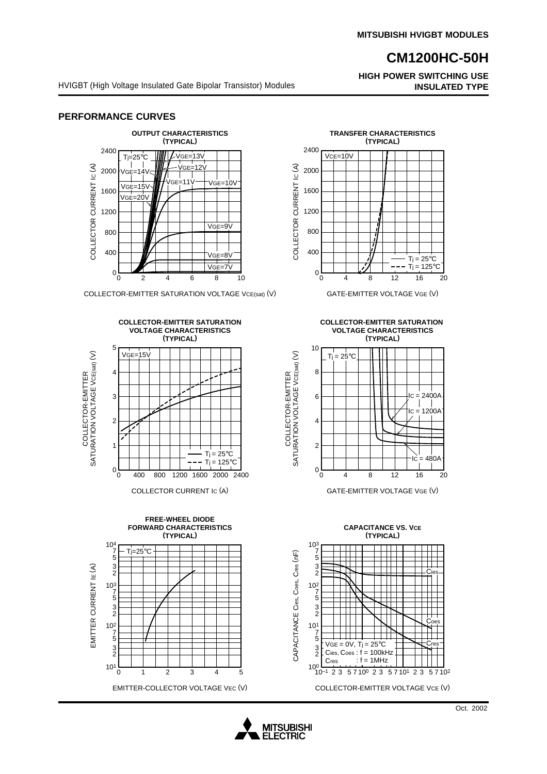### **CM1200HC-50H**

**HIGH POWER SWITCHING USE**

**PERFORMANCE CURVES**

#### **OUTPUT CHARACTERISTICS (TYPICAL)** 2400  $T_1 = 25^{\circ}$ C  $\frac{1}{2}$   $\frac{1}{2}$   $\sqrt{}$   $\sqrt{}$   $\sqrt{}$   $\sqrt{}$   $\sqrt{}$   $\sqrt{}$   $\sqrt{}$   $\sqrt{}$   $\sqrt{}$   $\sqrt{}$   $\sqrt{}$   $\sqrt{}$   $\sqrt{}$   $\sqrt{}$   $\sqrt{}$   $\sqrt{}$   $\sqrt{}$   $\sqrt{}$   $\sqrt{}$   $\sqrt{}$   $\sqrt{}$   $\sqrt{}$   $\sqrt{}$   $\sqrt{}$   $\sqrt{}$   $\sqrt{}$   $\sqrt{$ COLLECTOR CURRENT IC (A)  $:12'$ COLLECTOR CURRENT IC (A) 2000 VGE=14V  $V$ GE=11V $\rightarrow$ VGE=10V VGE=15V 1600 VGE=20V 1200 VGE=9V 800 400  $VGE=8$  VGE=7V  $0\frac{L}{0}$ 0 2 4 6 8 10

COLLECTOR-EMITTER SATURATION VOLTAGE VCE(sat) (V)











GATE-EMITTER VOLTAGE VGE (V)



GATE-EMITTER VOLTAGE VGE (V)



#### **COLLECTOR-EMITTER SATURATION VOLTAGE CHARACTERISTICS**



COLLECTOR-EMITTER